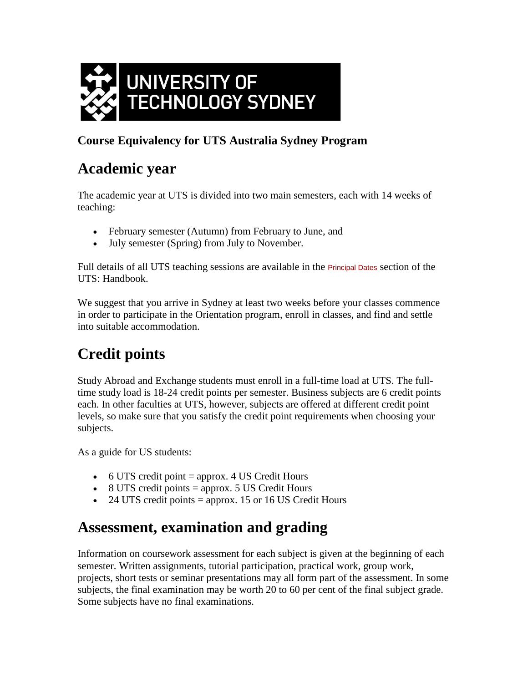

## **Course Equivalency for UTS Australia Sydney Program**

# **Academic year**

The academic year at UTS is divided into two main semesters, each with 14 weeks of teaching:

- February semester (Autumn) from February to June, and
- July semester (Spring) from July to November.

Full details of all UTS teaching sessions are available in the [Principal Dates](http://www.uts.edu.au/handbook-academic-year-dates) section of the UTS: Handbook.

We suggest that you arrive in Sydney at least two weeks before your classes commence in order to participate in the Orientation program, enroll in classes, and find and settle into suitable accommodation.

# **Credit points**

Study Abroad and Exchange students must enroll in a full-time load at UTS. The fulltime study load is 18-24 credit points per semester. Business subjects are 6 credit points each. In other faculties at UTS, however, subjects are offered at different credit point levels, so make sure that you satisfy the credit point requirements when choosing your subjects.

As a guide for US students:

- $\bullet$  6 UTS credit point = approx. 4 US Credit Hours
- $\bullet$  8 UTS credit points = approx. 5 US Credit Hours
- $\bullet$  24 UTS credit points = approx. 15 or 16 US Credit Hours

## **Assessment, examination and grading**

Information on coursework assessment for each subject is given at the beginning of each semester. Written assignments, tutorial participation, practical work, group work, projects, short tests or seminar presentations may all form part of the assessment. In some subjects, the final examination may be worth 20 to 60 per cent of the final subject grade. Some subjects have no final examinations.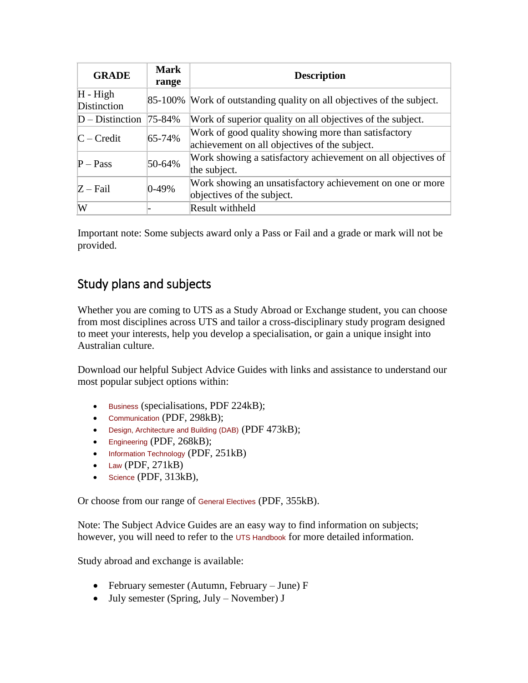| <b>GRADE</b>              | <b>Mark</b><br>range | <b>Description</b>                                                                                   |
|---------------------------|----------------------|------------------------------------------------------------------------------------------------------|
| $H - High$<br>Distinction |                      | 85-100% Work of outstanding quality on all objectives of the subject.                                |
| $D - Distinction$         | 75-84%               | Work of superior quality on all objectives of the subject.                                           |
| $C - Credit$              | $65 - 74%$           | Work of good quality showing more than satisfactory<br>achievement on all objectives of the subject. |
| $P - Pass$                | 50-64%               | Work showing a satisfactory achievement on all objectives of<br>the subject.                         |
| $Z$ – Fail                | $0-49%$              | Work showing an unsatisfactory achievement on one or more<br>objectives of the subject.              |
| W                         |                      | Result withheld                                                                                      |

Important note: Some subjects award only a Pass or Fail and a grade or mark will not be provided.

## Study plans and subjects

Whether you are coming to UTS as a Study Abroad or Exchange student, you can choose from most disciplines across UTS and tailor a cross-disciplinary study program designed to meet your interests, help you develop a specialisation, or gain a unique insight into Australian culture.

Download our helpful Subject Advice Guides with links and assistance to understand our most popular subject options within:

- [Business](http://www.uts.edu.au/utsi-saex-business-advising-guide) (specialisations, PDF 224kB);
- [Communication](http://www.uts.edu.au/utsi-saex-communication-advising-guide) (PDF, 298kB);
- [Design, Architecture and Building \(DAB\)](http://www.uts.edu.au/utsi-saex-dab-advising-guide) (PDF 473kB);
- [Engineering](http://www.uts.edu.au/utsi-saex-engineering-advising-guide) (PDF, 268kB);
- [Information Technology](http://www.uts.edu.au/utsi-saex-it-advising-guide) (PDF, 251kB)
- $\bullet$  [Law](http://www.uts.edu.au/sites/default/files/uts-i-saex-law-advising-guide.pdf) (PDF, 271kB)
- $\bullet$  [Science](http://www.uts.edu.au/utsi-saex-science-advising-guide) (PDF, 313kB),

Or choose from our range of [General Electives](http://www.uts.edu.au/utsi-saex-electives-advising-guide) (PDF, 355kB).

Note: The Subject Advice Guides are an easy way to find information on subjects; however, you will need to refer to the [UTS Handbook](http://www.uts.edu.au/current-students/managing-your-course/uts-handbook) for more detailed information.

Study abroad and exchange is available:

- February semester (Autumn, February June) F
- $\bullet$  July semester (Spring, July November) J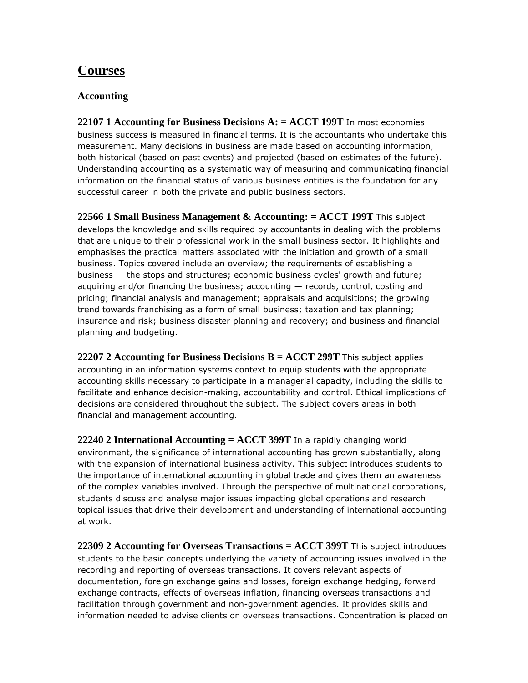## **Courses**

#### **Accounting**

**22107 1 Accounting for Business Decisions A: = ACCT 199T** In most economies business success is measured in financial terms. It is the accountants who undertake this measurement. Many decisions in business are made based on accounting information, both historical (based on past events) and projected (based on estimates of the future). Understanding accounting as a systematic way of measuring and communicating financial information on the financial status of various business entities is the foundation for any successful career in both the private and public business sectors.

**22566 1 Small Business Management & Accounting: = ACCT 199T** This subject develops the knowledge and skills required by accountants in dealing with the problems that are unique to their professional work in the small business sector. It highlights and emphasises the practical matters associated with the initiation and growth of a small business. Topics covered include an overview; the requirements of establishing a business — the stops and structures; economic business cycles' growth and future; acquiring and/or financing the business; accounting — records, control, costing and pricing; financial analysis and management; appraisals and acquisitions; the growing trend towards franchising as a form of small business; taxation and tax planning; insurance and risk; business disaster planning and recovery; and business and financial planning and budgeting.

**22207 2 Accounting for Business Decisions B = ACCT 299T** This subject applies accounting in an information systems context to equip students with the appropriate accounting skills necessary to participate in a managerial capacity, including the skills to facilitate and enhance decision-making, accountability and control. Ethical implications of decisions are considered throughout the subject. The subject covers areas in both financial and management accounting.

**22240 2 International Accounting = ACCT 399T** In a rapidly changing world environment, the significance of international accounting has grown substantially, along with the expansion of international business activity. This subject introduces students to the importance of international accounting in global trade and gives them an awareness of the complex variables involved. Through the perspective of multinational corporations, students discuss and analyse major issues impacting global operations and research topical issues that drive their development and understanding of international accounting at work.

**22309 2 Accounting for Overseas Transactions = ACCT 399T** This subject introduces students to the basic concepts underlying the variety of accounting issues involved in the recording and reporting of overseas transactions. It covers relevant aspects of documentation, foreign exchange gains and losses, foreign exchange hedging, forward exchange contracts, effects of overseas inflation, financing overseas transactions and facilitation through government and non-government agencies. It provides skills and information needed to advise clients on overseas transactions. Concentration is placed on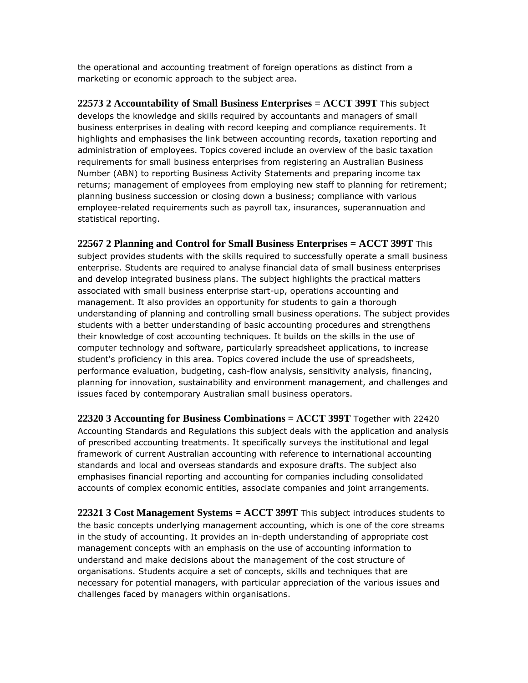the operational and accounting treatment of foreign operations as distinct from a marketing or economic approach to the subject area.

**22573 2 Accountability of Small Business Enterprises = ACCT 399T** This subject develops the knowledge and skills required by accountants and managers of small business enterprises in dealing with record keeping and compliance requirements. It highlights and emphasises the link between accounting records, taxation reporting and administration of employees. Topics covered include an overview of the basic taxation requirements for small business enterprises from registering an Australian Business Number (ABN) to reporting Business Activity Statements and preparing income tax returns; management of employees from employing new staff to planning for retirement; planning business succession or closing down a business; compliance with various employee-related requirements such as payroll tax, insurances, superannuation and statistical reporting.

**22567 2 Planning and Control for Small Business Enterprises = ACCT 399T** This subject provides students with the skills required to successfully operate a small business enterprise. Students are required to analyse financial data of small business enterprises and develop integrated business plans. The subject highlights the practical matters associated with small business enterprise start-up, operations accounting and management. It also provides an opportunity for students to gain a thorough understanding of planning and controlling small business operations. The subject provides students with a better understanding of basic accounting procedures and strengthens their knowledge of cost accounting techniques. It builds on the skills in the use of computer technology and software, particularly spreadsheet applications, to increase student's proficiency in this area. Topics covered include the use of spreadsheets, performance evaluation, budgeting, cash-flow analysis, sensitivity analysis, financing, planning for innovation, sustainability and environment management, and challenges and issues faced by contemporary Australian small business operators.

**22320 3 Accounting for Business Combinations = ACCT 399T** Together with 22420 Accounting Standards and Regulations this subject deals with the application and analysis of prescribed accounting treatments. It specifically surveys the institutional and legal framework of current Australian accounting with reference to international accounting standards and local and overseas standards and exposure drafts. The subject also emphasises financial reporting and accounting for companies including consolidated accounts of complex economic entities, associate companies and joint arrangements.

**22321 3 Cost Management Systems = ACCT 399T** This subject introduces students to the basic concepts underlying management accounting, which is one of the core streams in the study of accounting. It provides an in-depth understanding of appropriate cost management concepts with an emphasis on the use of accounting information to understand and make decisions about the management of the cost structure of organisations. Students acquire a set of concepts, skills and techniques that are necessary for potential managers, with particular appreciation of the various issues and challenges faced by managers within organisations.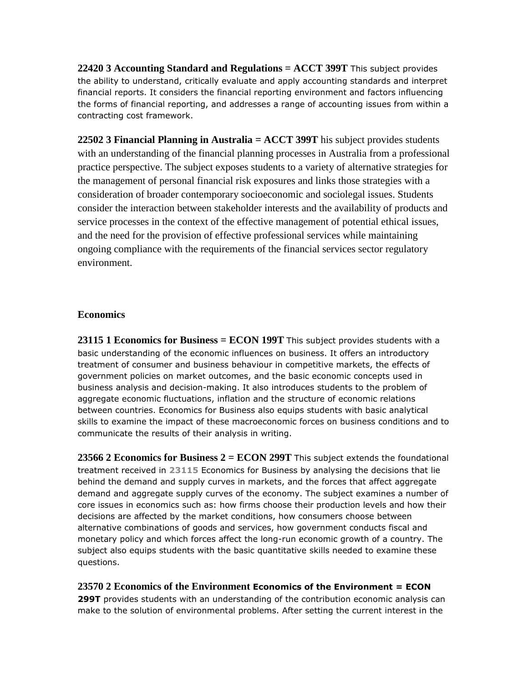**22420 3 Accounting Standard and Regulations = ACCT 399T** This subject provides the ability to understand, critically evaluate and apply accounting standards and interpret financial reports. It considers the financial reporting environment and factors influencing the forms of financial reporting, and addresses a range of accounting issues from within a contracting cost framework.

**22502 3 Financial Planning in Australia = ACCT 399T** his subject provides students with an understanding of the financial planning processes in Australia from a professional practice perspective. The subject exposes students to a variety of alternative strategies for the management of personal financial risk exposures and links those strategies with a consideration of broader contemporary socioeconomic and sociolegal issues. Students consider the interaction between stakeholder interests and the availability of products and service processes in the context of the effective management of potential ethical issues, and the need for the provision of effective professional services while maintaining ongoing compliance with the requirements of the financial services sector regulatory environment.

#### **Economics**

**23115 1 Economics for Business = ECON 199T** This subject provides students with a basic understanding of the economic influences on business. It offers an introductory treatment of consumer and business behaviour in competitive markets, the effects of government policies on market outcomes, and the basic economic concepts used in business analysis and decision-making. It also introduces students to the problem of aggregate economic fluctuations, inflation and the structure of economic relations between countries. Economics for Business also equips students with basic analytical skills to examine the impact of these macroeconomic forces on business conditions and to communicate the results of their analysis in writing.

**23566 2 Economics for Business 2 = ECON 299T** This subject extends the foundational treatment received in **[23115](http://handbook.uts.edu.au/subjects/23115.html)** Economics for Business by analysing the decisions that lie behind the demand and supply curves in markets, and the forces that affect aggregate demand and aggregate supply curves of the economy. The subject examines a number of core issues in economics such as: how firms choose their production levels and how their decisions are affected by the market conditions, how consumers choose between alternative combinations of goods and services, how government conducts fiscal and monetary policy and which forces affect the long-run economic growth of a country. The subject also equips students with the basic quantitative skills needed to examine these questions.

#### **23570 2 Economics of the Environment Economics of the Environment = ECON**

**299T** provides students with an understanding of the contribution economic analysis can make to the solution of environmental problems. After setting the current interest in the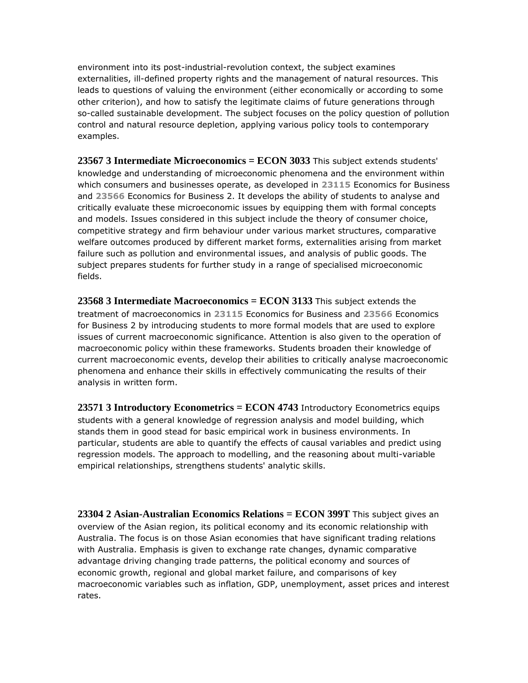environment into its post-industrial-revolution context, the subject examines externalities, ill-defined property rights and the management of natural resources. This leads to questions of valuing the environment (either economically or according to some other criterion), and how to satisfy the legitimate claims of future generations through so-called sustainable development. The subject focuses on the policy question of pollution control and natural resource depletion, applying various policy tools to contemporary examples.

**23567 3 Intermediate Microeconomics = ECON 3033** This subject extends students' knowledge and understanding of microeconomic phenomena and the environment within which consumers and businesses operate, as developed in **[23115](http://handbook.uts.edu.au/subjects/23115.html)** Economics for Business and **[23566](http://handbook.uts.edu.au/subjects/23566.html)** Economics for Business 2. It develops the ability of students to analyse and critically evaluate these microeconomic issues by equipping them with formal concepts and models. Issues considered in this subject include the theory of consumer choice, competitive strategy and firm behaviour under various market structures, comparative welfare outcomes produced by different market forms, externalities arising from market failure such as pollution and environmental issues, and analysis of public goods. The subject prepares students for further study in a range of specialised microeconomic fields.

**23568 3 Intermediate Macroeconomics = ECON 3133** This subject extends the treatment of macroeconomics in **[23115](http://handbook.uts.edu.au/subjects/23115)** Economics for Business and **[23566](http://handbook.uts.edu.au/subjects/23566)** Economics for Business 2 by introducing students to more formal models that are used to explore issues of current macroeconomic significance. Attention is also given to the operation of macroeconomic policy within these frameworks. Students broaden their knowledge of current macroeconomic events, develop their abilities to critically analyse macroeconomic phenomena and enhance their skills in effectively communicating the results of their analysis in written form.

**23571 3 Introductory Econometrics = ECON 4743** Introductory Econometrics equips students with a general knowledge of regression analysis and model building, which stands them in good stead for basic empirical work in business environments. In particular, students are able to quantify the effects of causal variables and predict using regression models. The approach to modelling, and the reasoning about multi-variable empirical relationships, strengthens students' analytic skills.

**23304 2 Asian-Australian Economics Relations = ECON 399T** This subject gives an overview of the Asian region, its political economy and its economic relationship with Australia. The focus is on those Asian economies that have significant trading relations with Australia. Emphasis is given to exchange rate changes, dynamic comparative advantage driving changing trade patterns, the political economy and sources of economic growth, regional and global market failure, and comparisons of key macroeconomic variables such as inflation, GDP, unemployment, asset prices and interest rates.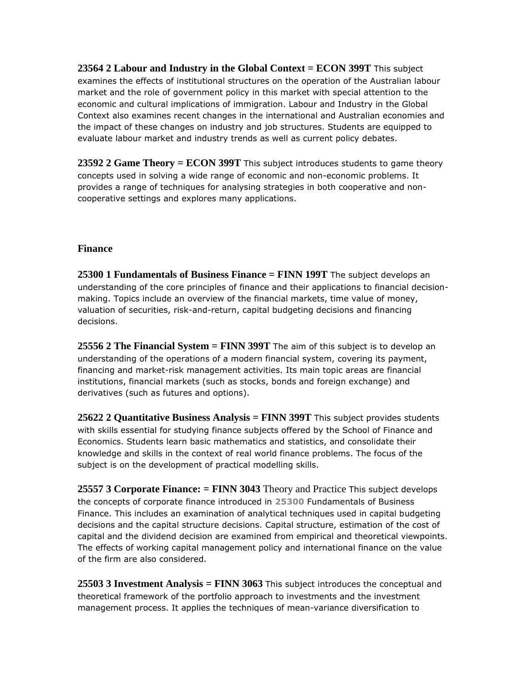**23564 2 Labour and Industry in the Global Context = ECON 399T** This subject examines the effects of institutional structures on the operation of the Australian labour market and the role of government policy in this market with special attention to the economic and cultural implications of immigration. Labour and Industry in the Global Context also examines recent changes in the international and Australian economies and the impact of these changes on industry and job structures. Students are equipped to evaluate labour market and industry trends as well as current policy debates.

**23592 2 Game Theory = ECON 399T** This subject introduces students to game theory concepts used in solving a wide range of economic and non-economic problems. It provides a range of techniques for analysing strategies in both cooperative and noncooperative settings and explores many applications.

#### **Finance**

**25300 1 Fundamentals of Business Finance = FINN 199T** The subject develops an understanding of the core principles of finance and their applications to financial decisionmaking. Topics include an overview of the financial markets, time value of money, valuation of securities, risk-and-return, capital budgeting decisions and financing decisions.

**25556 2 The Financial System = FINN 399T** The aim of this subject is to develop an understanding of the operations of a modern financial system, covering its payment, financing and market-risk management activities. Its main topic areas are financial institutions, financial markets (such as stocks, bonds and foreign exchange) and derivatives (such as futures and options).

**25622 2 Quantitative Business Analysis = FINN 399T** This subject provides students with skills essential for studying finance subjects offered by the School of Finance and Economics. Students learn basic mathematics and statistics, and consolidate their knowledge and skills in the context of real world finance problems. The focus of the subject is on the development of practical modelling skills.

**25557 3 Corporate Finance: = FINN 3043** Theory and Practice This subject develops the concepts of corporate finance introduced in **[25300](http://handbook.uts.edu.au/subjects/25300.html)** Fundamentals of Business Finance. This includes an examination of analytical techniques used in capital budgeting decisions and the capital structure decisions. Capital structure, estimation of the cost of capital and the dividend decision are examined from empirical and theoretical viewpoints. The effects of working capital management policy and international finance on the value of the firm are also considered.

**25503 3 Investment Analysis = FINN 3063** This subject introduces the conceptual and theoretical framework of the portfolio approach to investments and the investment management process. It applies the techniques of mean-variance diversification to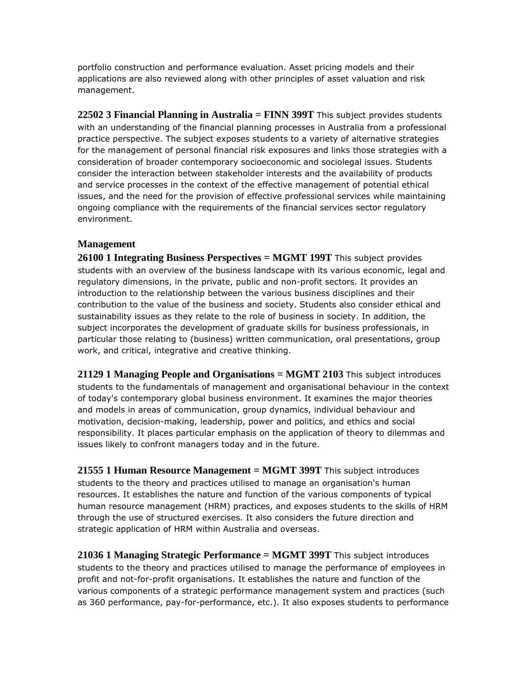portfolio construction and performance evaluation. Asset pricing models and their applications are also reviewed along with other principles of asset valuation and risk management.

**22502 3 Financial Planning in Australia = FINN 399T** This subject provides students with an understanding of the financial planning processes in Australia from a professional practice perspective. The subject exposes students to a variety of alternative strategies for the management of personal financial risk exposures and links those strategies with a consideration of broader contemporary socioeconomic and sociolegal issues. Students consider the interaction between stakeholder interests and the availability of products and service processes in the context of the effective management of potential ethical issues, and the need for the provision of effective professional services while maintaining ongoing compliance with the requirements of the financial services sector regulatory environment.

#### **Management**

**26100 1 Integrating Business Perspectives = MGMT 199T** This subject provides students with an overview of the business landscape with its various economic, legal and regulatory dimensions, in the private, public and non-profit sectors. It provides an introduction to the relationship between the various business disciplines and their contribution to the value of the business and society. Students also consider ethical and sustainability issues as they relate to the role of business in society. In addition, the subject incorporates the development of graduate skills for business professionals, in particular those relating to (business) written communication, oral presentations, group work, and critical, integrative and creative thinking.

**21129 1 Managing People and Organisations = MGMT 2103** This subject introduces students to the fundamentals of management and organisational behaviour in the context of today's contemporary global business environment. It examines the major theories and models in areas of communication, group dynamics, individual behaviour and motivation, decision-making, leadership, power and politics, and ethics and social responsibility. It places particular emphasis on the application of theory to dilemmas and issues likely to confront managers today and in the future.

**21555 1 Human Resource Management = MGMT 399T** This subject introduces students to the theory and practices utilised to manage an organisation's human resources. It establishes the nature and function of the various components of typical human resource management (HRM) practices, and exposes students to the skills of HRM through the use of structured exercises. It also considers the future direction and strategic application of HRM within Australia and overseas.

**21036 1 Managing Strategic Performance = MGMT 399T** This subject introduces students to the theory and practices utilised to manage the performance of employees in profit and not-for-profit organisations. It establishes the nature and function of the various components of a strategic performance management system and practices (such as 360 performance, pay-for-performance, etc.). It also exposes students to performance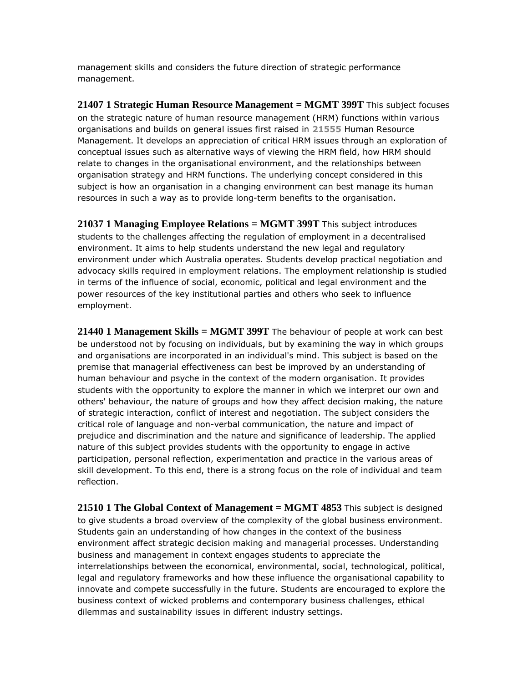management skills and considers the future direction of strategic performance management.

**21407 1 Strategic Human Resource Management = MGMT 399T** This subject focuses on the strategic nature of human resource management (HRM) functions within various organisations and builds on general issues first raised in **[21555](http://handbook.uts.edu.au/subjects/21555.html)** Human Resource Management. It develops an appreciation of critical HRM issues through an exploration of conceptual issues such as alternative ways of viewing the HRM field, how HRM should relate to changes in the organisational environment, and the relationships between organisation strategy and HRM functions. The underlying concept considered in this subject is how an organisation in a changing environment can best manage its human resources in such a way as to provide long-term benefits to the organisation.

**21037 1 Managing Employee Relations = MGMT 399T** This subject introduces students to the challenges affecting the regulation of employment in a decentralised environment. It aims to help students understand the new legal and regulatory environment under which Australia operates. Students develop practical negotiation and advocacy skills required in employment relations. The employment relationship is studied in terms of the influence of social, economic, political and legal environment and the power resources of the key institutional parties and others who seek to influence employment.

**21440 1 Management Skills = MGMT 399T** The behaviour of people at work can best be understood not by focusing on individuals, but by examining the way in which groups and organisations are incorporated in an individual's mind. This subject is based on the premise that managerial effectiveness can best be improved by an understanding of human behaviour and psyche in the context of the modern organisation. It provides students with the opportunity to explore the manner in which we interpret our own and others' behaviour, the nature of groups and how they affect decision making, the nature of strategic interaction, conflict of interest and negotiation. The subject considers the critical role of language and non-verbal communication, the nature and impact of prejudice and discrimination and the nature and significance of leadership. The applied nature of this subject provides students with the opportunity to engage in active participation, personal reflection, experimentation and practice in the various areas of skill development. To this end, there is a strong focus on the role of individual and team reflection.

**21510 1 The Global Context of Management = MGMT 4853** This subject is designed to give students a broad overview of the complexity of the global business environment. Students gain an understanding of how changes in the context of the business environment affect strategic decision making and managerial processes. Understanding business and management in context engages students to appreciate the interrelationships between the economical, environmental, social, technological, political, legal and regulatory frameworks and how these influence the organisational capability to innovate and compete successfully in the future. Students are encouraged to explore the business context of wicked problems and contemporary business challenges, ethical dilemmas and sustainability issues in different industry settings.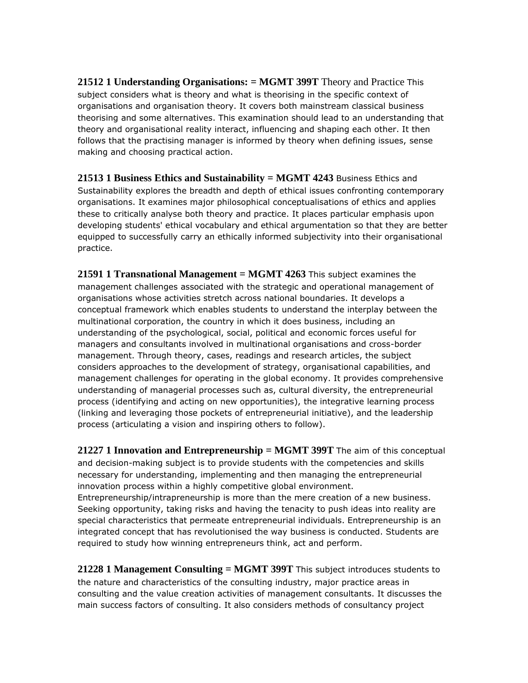**21512 1 Understanding Organisations: = MGMT 399T** Theory and Practice This subject considers what is theory and what is theorising in the specific context of organisations and organisation theory. It covers both mainstream classical business theorising and some alternatives. This examination should lead to an understanding that theory and organisational reality interact, influencing and shaping each other. It then follows that the practising manager is informed by theory when defining issues, sense making and choosing practical action.

**21513 1 Business Ethics and Sustainability = MGMT 4243** Business Ethics and Sustainability explores the breadth and depth of ethical issues confronting contemporary organisations. It examines major philosophical conceptualisations of ethics and applies these to critically analyse both theory and practice. It places particular emphasis upon developing students' ethical vocabulary and ethical argumentation so that they are better equipped to successfully carry an ethically informed subjectivity into their organisational practice.

**21591 1 Transnational Management = MGMT 4263** This subject examines the management challenges associated with the strategic and operational management of organisations whose activities stretch across national boundaries. It develops a conceptual framework which enables students to understand the interplay between the multinational corporation, the country in which it does business, including an understanding of the psychological, social, political and economic forces useful for managers and consultants involved in multinational organisations and cross-border management. Through theory, cases, readings and research articles, the subject considers approaches to the development of strategy, organisational capabilities, and management challenges for operating in the global economy. It provides comprehensive understanding of managerial processes such as, cultural diversity, the entrepreneurial process (identifying and acting on new opportunities), the integrative learning process (linking and leveraging those pockets of entrepreneurial initiative), and the leadership process (articulating a vision and inspiring others to follow).

**21227 1 Innovation and Entrepreneurship = MGMT 399T** The aim of this conceptual and decision-making subject is to provide students with the competencies and skills necessary for understanding, implementing and then managing the entrepreneurial innovation process within a highly competitive global environment. Entrepreneurship/intrapreneurship is more than the mere creation of a new business. Seeking opportunity, taking risks and having the tenacity to push ideas into reality are special characteristics that permeate entrepreneurial individuals. Entrepreneurship is an integrated concept that has revolutionised the way business is conducted. Students are required to study how winning entrepreneurs think, act and perform.

**21228 1 Management Consulting = MGMT 399T** This subject introduces students to the nature and characteristics of the consulting industry, major practice areas in consulting and the value creation activities of management consultants. It discusses the main success factors of consulting. It also considers methods of consultancy project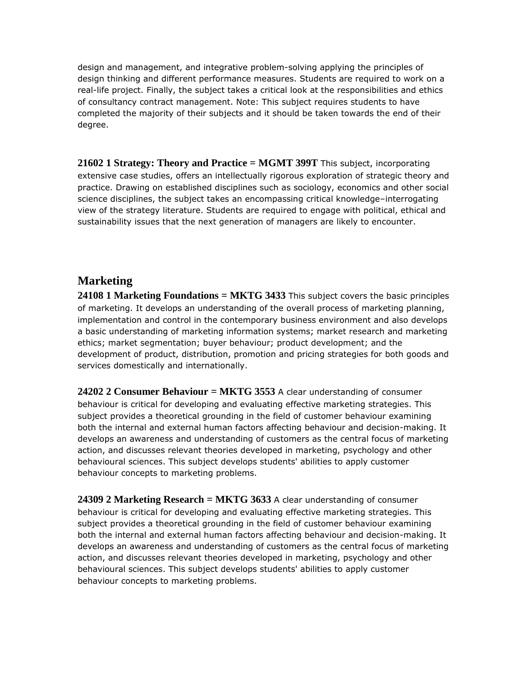design and management, and integrative problem-solving applying the principles of design thinking and different performance measures. Students are required to work on a real-life project. Finally, the subject takes a critical look at the responsibilities and ethics of consultancy contract management. Note: This subject requires students to have completed the majority of their subjects and it should be taken towards the end of their degree.

**21602 1 Strategy: Theory and Practice = MGMT 399T** This subject, incorporating extensive case studies, offers an intellectually rigorous exploration of strategic theory and practice. Drawing on established disciplines such as sociology, economics and other social science disciplines, the subject takes an encompassing critical knowledge–interrogating view of the strategy literature. Students are required to engage with political, ethical and sustainability issues that the next generation of managers are likely to encounter.

### **Marketing**

**24108 1 Marketing Foundations = MKTG 3433** This subject covers the basic principles of marketing. It develops an understanding of the overall process of marketing planning, implementation and control in the contemporary business environment and also develops a basic understanding of marketing information systems; market research and marketing ethics; market segmentation; buyer behaviour; product development; and the development of product, distribution, promotion and pricing strategies for both goods and services domestically and internationally.

**24202 2 Consumer Behaviour = MKTG 3553** A clear understanding of consumer behaviour is critical for developing and evaluating effective marketing strategies. This subject provides a theoretical grounding in the field of customer behaviour examining both the internal and external human factors affecting behaviour and decision-making. It develops an awareness and understanding of customers as the central focus of marketing action, and discusses relevant theories developed in marketing, psychology and other behavioural sciences. This subject develops students' abilities to apply customer behaviour concepts to marketing problems.

**24309 2 Marketing Research = MKTG 3633** A clear understanding of consumer behaviour is critical for developing and evaluating effective marketing strategies. This subject provides a theoretical grounding in the field of customer behaviour examining both the internal and external human factors affecting behaviour and decision-making. It develops an awareness and understanding of customers as the central focus of marketing action, and discusses relevant theories developed in marketing, psychology and other behavioural sciences. This subject develops students' abilities to apply customer behaviour concepts to marketing problems.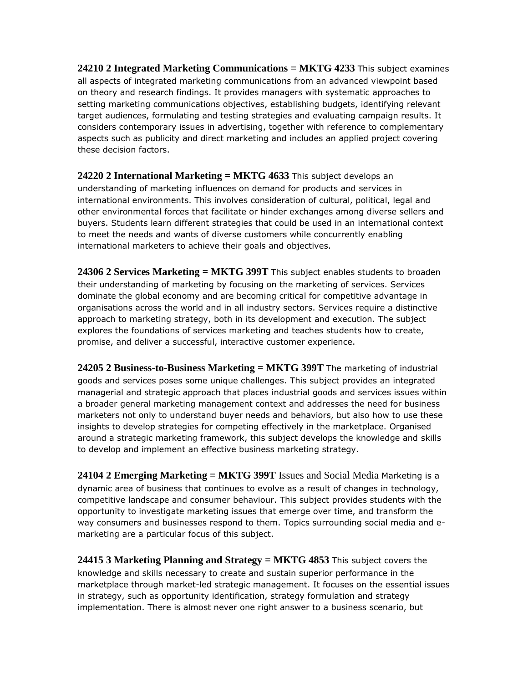**24210 2 Integrated Marketing Communications = MKTG 4233** This subject examines all aspects of integrated marketing communications from an advanced viewpoint based on theory and research findings. It provides managers with systematic approaches to setting marketing communications objectives, establishing budgets, identifying relevant target audiences, formulating and testing strategies and evaluating campaign results. It considers contemporary issues in advertising, together with reference to complementary aspects such as publicity and direct marketing and includes an applied project covering these decision factors.

**24220 2 International Marketing = MKTG 4633** This subject develops an understanding of marketing influences on demand for products and services in international environments. This involves consideration of cultural, political, legal and other environmental forces that facilitate or hinder exchanges among diverse sellers and buyers. Students learn different strategies that could be used in an international context to meet the needs and wants of diverse customers while concurrently enabling international marketers to achieve their goals and objectives.

**24306 2 Services Marketing = MKTG 399T** This subject enables students to broaden their understanding of marketing by focusing on the marketing of services. Services dominate the global economy and are becoming critical for competitive advantage in organisations across the world and in all industry sectors. Services require a distinctive approach to marketing strategy, both in its development and execution. The subject explores the foundations of services marketing and teaches students how to create, promise, and deliver a successful, interactive customer experience.

**24205 2 Business-to-Business Marketing = MKTG 399T** The marketing of industrial goods and services poses some unique challenges. This subject provides an integrated managerial and strategic approach that places industrial goods and services issues within a broader general marketing management context and addresses the need for business marketers not only to understand buyer needs and behaviors, but also how to use these insights to develop strategies for competing effectively in the marketplace. Organised around a strategic marketing framework, this subject develops the knowledge and skills to develop and implement an effective business marketing strategy.

**24104 2 Emerging Marketing = MKTG 399T** Issues and Social Media Marketing is a dynamic area of business that continues to evolve as a result of changes in technology, competitive landscape and consumer behaviour. This subject provides students with the opportunity to investigate marketing issues that emerge over time, and transform the way consumers and businesses respond to them. Topics surrounding social media and emarketing are a particular focus of this subject.

**24415 3 Marketing Planning and Strategy = MKTG 4853** This subject covers the knowledge and skills necessary to create and sustain superior performance in the marketplace through market-led strategic management. It focuses on the essential issues in strategy, such as opportunity identification, strategy formulation and strategy implementation. There is almost never one right answer to a business scenario, but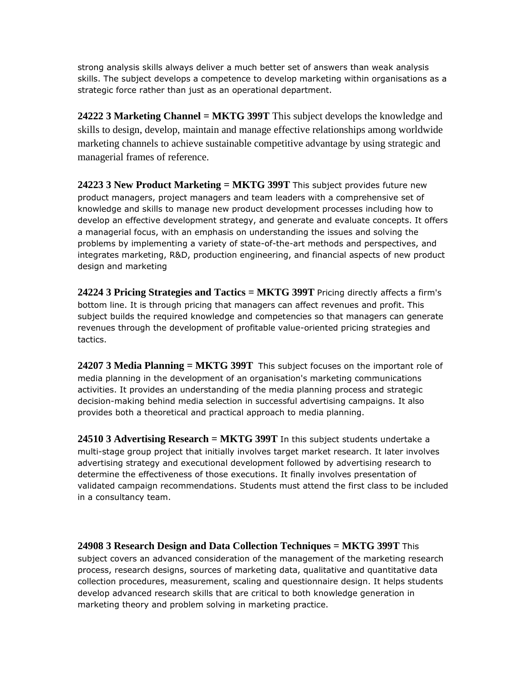strong analysis skills always deliver a much better set of answers than weak analysis skills. The subject develops a competence to develop marketing within organisations as a strategic force rather than just as an operational department.

**24222 3 Marketing Channel = MKTG 399T** This subject develops the knowledge and skills to design, develop, maintain and manage effective relationships among worldwide marketing channels to achieve sustainable competitive advantage by using strategic and managerial frames of reference.

**24223 3 New Product Marketing = MKTG 399T** This subject provides future new product managers, project managers and team leaders with a comprehensive set of knowledge and skills to manage new product development processes including how to develop an effective development strategy, and generate and evaluate concepts. It offers a managerial focus, with an emphasis on understanding the issues and solving the problems by implementing a variety of state-of-the-art methods and perspectives, and integrates marketing, R&D, production engineering, and financial aspects of new product design and marketing

**24224 3 Pricing Strategies and Tactics = MKTG 399T** Pricing directly affects a firm's bottom line. It is through pricing that managers can affect revenues and profit. This subject builds the required knowledge and competencies so that managers can generate revenues through the development of profitable value-oriented pricing strategies and tactics.

24207 3 Media Planning = MKTG 399T This subject focuses on the important role of media planning in the development of an organisation's marketing communications activities. It provides an understanding of the media planning process and strategic decision-making behind media selection in successful advertising campaigns. It also provides both a theoretical and practical approach to media planning.

**24510 3 Advertising Research = MKTG 399T** In this subject students undertake a multi-stage group project that initially involves target market research. It later involves advertising strategy and executional development followed by advertising research to determine the effectiveness of those executions. It finally involves presentation of validated campaign recommendations. Students must attend the first class to be included in a consultancy team.

**24908 3 Research Design and Data Collection Techniques = MKTG 399T** This subject covers an advanced consideration of the management of the marketing research process, research designs, sources of marketing data, qualitative and quantitative data collection procedures, measurement, scaling and questionnaire design. It helps students develop advanced research skills that are critical to both knowledge generation in marketing theory and problem solving in marketing practice.